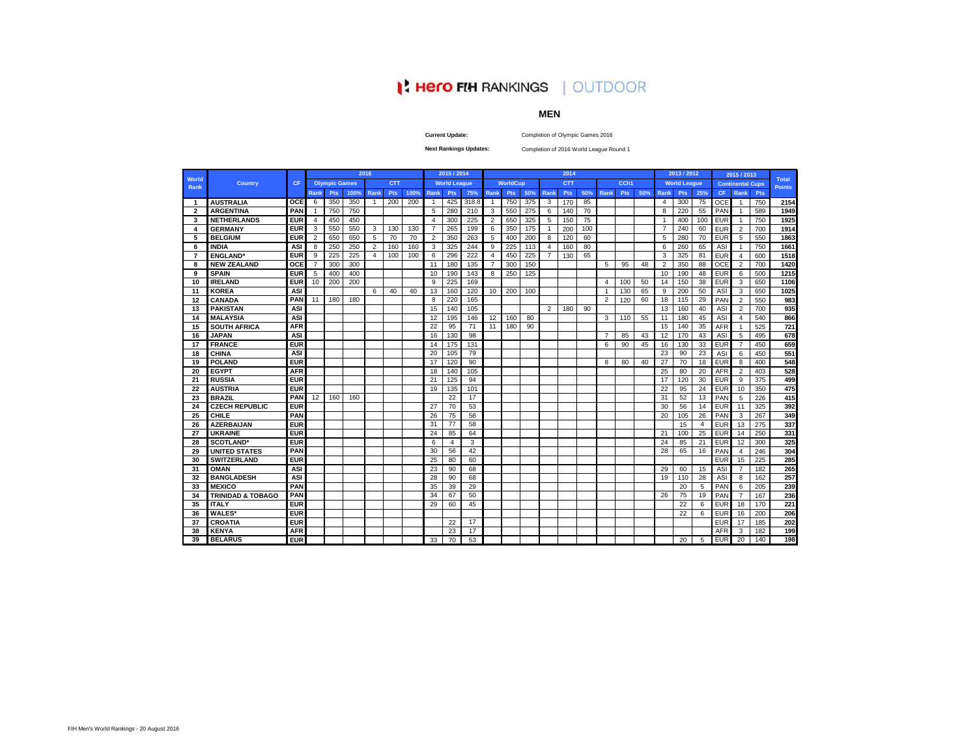# **I' Hero FIH RANKINGS | OUTDOOR**

#### **MEN**

**Current Update:**

Completion of Olympic Games 2016

**Next Rankings Updates:** 

Completion of 2016 World League Round 1

|                      |                              |            |                |                      |      | 2016                    |            |      |                | 2015 / 2014         |       |                |                 |     |                | 2014       |     |                       |            |     |                | 2013 / 2012         |     |            | 2015 / 2013             |     |                               |
|----------------------|------------------------------|------------|----------------|----------------------|------|-------------------------|------------|------|----------------|---------------------|-------|----------------|-----------------|-----|----------------|------------|-----|-----------------------|------------|-----|----------------|---------------------|-----|------------|-------------------------|-----|-------------------------------|
| World<br><b>Rank</b> | <b>Country</b>               | <b>CF</b>  |                | <b>Olympic Games</b> |      |                         | <b>CTT</b> |      |                | <b>World League</b> |       |                | <b>WorldCup</b> |     |                | <b>CTT</b> |     |                       | CCh1       |     |                | <b>World League</b> |     |            | <b>Continental Cups</b> |     | <b>Total</b><br><b>Points</b> |
|                      |                              |            | <b>Rank</b>    | <b>Pts</b>           | 100% | <b>Rank</b>             | <b>Pts</b> | 100% | <b>Rank</b>    | <b>Pts</b>          | 75%   | Rank           | <b>Pts</b>      | 50% | Rank           | <b>Pts</b> | 50% | Rank                  | <b>Pts</b> | 50% | Rank           | <b>Pts</b>          | 25% | <b>CF</b>  | Rank                    | Pts |                               |
| $\mathbf 1$          | <b>AUSTRALIA</b>             | <b>OCE</b> | 6              | 350                  | 350  | $\overline{1}$          | 200        | 200  | -1             | 425                 | 318.8 | -1             | 750             | 375 | 3              | 170        | 85  |                       |            |     | $\overline{4}$ | 300                 | 75  | <b>OCE</b> | $\mathbf{1}$            | 750 | 2154                          |
| $\overline{2}$       | <b>ARGENTINA</b>             | PAN        | $\mathbf{1}$   | 750                  | 750  |                         |            |      | 5              | 280                 | 210   | 3              | 550             | 275 | 6              | 140        | 70  |                       |            |     | 8              | 220                 | 55  | PAN        | $\mathbf{1}$            | 589 | 1949                          |
| 3                    | <b>NETHERLANDS</b>           | <b>EUR</b> | $\overline{4}$ | 450                  | 450  |                         |            |      | $\overline{4}$ | 300                 | 225   | 2              | 650             | 325 | 5              | 150        | 75  |                       |            |     | $\overline{1}$ | 400                 | 100 | <b>EUR</b> | $\overline{1}$          | 750 | 1925                          |
| 4                    | <b>GERMANY</b>               | <b>EUR</b> | 3              | 550                  | 550  | 3                       | 130        | 130  | $\overline{7}$ | 265                 | 199   | 6              | 350             | 175 | $\overline{1}$ | 200        | 100 |                       |            |     | $\overline{7}$ | 240                 | 60  | <b>EUR</b> | $\overline{2}$          | 700 | 1914                          |
| 5                    | <b>BELGIUM</b>               | <b>EUR</b> | $\overline{2}$ | 650                  | 650  | 5                       | 70         | 70   | $\overline{2}$ | 350                 | 263   | 5              | 400             | 200 | 8              | 120        | 60  |                       |            |     | 5              | 280                 | 70  | <b>EUR</b> | 5                       | 550 | 1863                          |
| 6                    | <b>INDIA</b>                 | <b>ASI</b> | 8              | 250                  | 250  | $\overline{2}$          | 160        | 160  | 3              | 325                 | 244   | 9              | 225             | 113 | $\overline{a}$ | 160        | 80  |                       |            |     | 6              | 260                 | 65  | ASI        | $\mathbf{1}$            | 750 | 1661                          |
| $\overline{7}$       | <b>ENGLAND</b> *             | <b>EUR</b> | 9              | 225                  | 225  | $\overline{\mathbf{4}}$ | 100        | 100  | 6              | 296                 | 222   | $\overline{4}$ | 450             | 225 | $\overline{7}$ | 130        | 65  |                       |            |     | 3              | 325                 | 81  | <b>EUR</b> | 4                       | 600 | 1518                          |
| 8                    | <b>NEW ZEALAND</b>           | OCE        | $\overline{7}$ | 300                  | 300  |                         |            |      | 11             | 180                 | 135   | $\overline{7}$ | 300             | 150 |                |            |     | 5                     | 95         | 48  | $\overline{2}$ | 350                 | 88  | OCE        | $\overline{2}$          | 700 | 1420                          |
| 9                    | <b>SPAIN</b>                 | <b>EUR</b> | 5              | 400                  | 400  |                         |            |      | 10             | 190                 | 143   | 8              | 250             | 125 |                |            |     |                       |            |     | 10             | 190                 | 48  | <b>EUR</b> | 6                       | 500 | 1215                          |
| 10                   | <b>IRELAND</b>               | <b>EUR</b> | 10             | 200                  | 200  |                         |            |      | 9              | 225                 | 169   |                |                 |     |                |            |     | $\boldsymbol{\Delta}$ | 100        | 50  | 14             | 150                 | 38  | <b>EUR</b> | 3                       | 650 | 1106                          |
| 11                   | <b>KOREA</b>                 | <b>ASI</b> |                |                      |      | 6                       | 40         | 40   | 13             | 160                 | 120   | 10             | 200             | 100 |                |            |     |                       | 130        | 65  | 9              | 200                 | 50  | ASI        | 3                       | 650 | 1025                          |
| 12                   | <b>CANADA</b>                | PAN        | 11             | 180                  | 180  |                         |            |      | 8              | 220                 | 165   |                |                 |     |                |            |     | $\overline{2}$        | 120        | 60  | 18             | 115                 | 29  | PAN        | $\overline{2}$          | 550 | 983                           |
| 13                   | <b>PAKISTAN</b>              | <b>ASI</b> |                |                      |      |                         |            |      | 15             | 140                 | 105   |                |                 |     | 2              | 180        | 90  |                       |            |     | 13             | 160                 | 40  | ASI        | 2                       | 700 | 935                           |
| 14                   | <b>MALAYSIA</b>              | ASI        |                |                      |      |                         |            |      | 12             | 195                 | 146   | 12             | 160             | 80  |                |            |     | 3                     | 110        | 55  | 11             | 180                 | 45  | ASI        | 4                       | 540 | 866                           |
| 15                   | <b>SOUTH AFRICA</b>          | <b>AFR</b> |                |                      |      |                         |            |      | 22             | 95                  | 71    | 11             | 180             | 90  |                |            |     |                       |            |     | 15             | 140                 | 35  | <b>AFR</b> | $\mathbf{1}$            | 525 | 721                           |
| 16                   | JAPAN                        | ASI        |                |                      |      |                         |            |      | 16             | 130                 | 98    |                |                 |     |                |            |     | 7                     | 85         | 43  | 12             | 170                 | 43  | <b>ASI</b> | 5                       | 495 | 678                           |
| 17                   | <b>FRANCE</b>                | <b>EUR</b> |                |                      |      |                         |            |      | 14             | 175                 | 131   |                |                 |     |                |            |     | 6                     | 90         | 45  | 16             | 130                 | 33  | <b>EUR</b> | $\overline{7}$          | 450 | 659                           |
| 18                   | <b>CHINA</b>                 | ASI        |                |                      |      |                         |            |      | 20             | 105                 | 79    |                |                 |     |                |            |     |                       |            |     | 23             | 90                  | 23  | ASI        | 6                       | 450 | 551                           |
| 19                   | <b>POLAND</b>                | <b>EUR</b> |                |                      |      |                         |            |      | 17             | 120                 | 90    |                |                 |     |                |            |     | 8                     | 80         | 40  | 27             | 70                  | 18  | <b>EUR</b> | 8                       | 400 | 548                           |
| 20                   | <b>EGYPT</b>                 | <b>AFR</b> |                |                      |      |                         |            |      | 18             | 140                 | 105   |                |                 |     |                |            |     |                       |            |     | 25             | 80                  | 20  | <b>AFR</b> | $\overline{2}$          | 403 | 528                           |
| 21                   | <b>RUSSIA</b>                | <b>EUR</b> |                |                      |      |                         |            |      | 21             | 125                 | 94    |                |                 |     |                |            |     |                       |            |     | 17             | 120                 | 30  | <b>EUR</b> | 9                       | 375 | 499                           |
| 22                   | AUSTRIA                      | <b>EUR</b> |                |                      |      |                         |            |      | 19             | 135                 | 101   |                |                 |     |                |            |     |                       |            |     | 22             | 95                  | 24  | <b>EUR</b> | 10                      | 350 | 475                           |
| 23                   | <b>BRAZIL</b>                | PAN        | 12             | 160                  | 160  |                         |            |      |                | 22                  | 17    |                |                 |     |                |            |     |                       |            |     | 31             | 52                  | 13  | PAN        | 5                       | 226 | 415                           |
| 24                   | <b>CZECH REPUBLIC</b>        | <b>EUR</b> |                |                      |      |                         |            |      | 27             | 70                  | 53    |                |                 |     |                |            |     |                       |            |     | 30             | 56                  | 14  | <b>EUR</b> | 11                      | 325 | 392                           |
| 25                   | CHILE                        | PAN        |                |                      |      |                         |            |      | 26             | 75                  | 56    |                |                 |     |                |            |     |                       |            |     | 20             | 105                 | 26  | PAN        | 3                       | 267 | 349                           |
| 26                   | <b>AZERBAIJAN</b>            | <b>EUR</b> |                |                      |      |                         |            |      | 31             | 77                  | 58    |                |                 |     |                |            |     |                       |            |     |                | 15                  | 4   | <b>EUR</b> | 13                      | 275 | 337                           |
| 27                   | <b>UKRAINE</b>               | <b>EUR</b> |                |                      |      |                         |            |      | 24             | 85                  | 64    |                |                 |     |                |            |     |                       |            |     | 21             | 100                 | 25  | <b>EUR</b> | 14                      | 250 | 331                           |
| 28                   | <b>SCOTLAND</b>              | <b>EUR</b> |                |                      |      |                         |            |      | 6              | 4                   | 3     |                |                 |     |                |            |     |                       |            |     | 24             | 85                  | 21  | <b>EUR</b> | 12                      | 300 | 325                           |
| 29                   | <b>UNITED STATES</b>         | PAN        |                |                      |      |                         |            |      | 30             | 56                  | 42    |                |                 |     |                |            |     |                       |            |     | 28             | 65                  | 16  | PAN        | $\overline{4}$          | 246 | 304                           |
| 30                   | <b>SWITZERLAND</b>           | <b>EUR</b> |                |                      |      |                         |            |      | 25             | 80                  | 60    |                |                 |     |                |            |     |                       |            |     |                |                     |     | <b>EUR</b> | 15                      | 225 | 285                           |
| 31                   | OMAN                         | ASI        |                |                      |      |                         |            |      | 23             | 90                  | 68    |                |                 |     |                |            |     |                       |            |     | 29             | 60                  | 15  | ASI        | $\overline{7}$          | 182 | 265                           |
| 32                   | <b>BANGLADESH</b>            | ASI        |                |                      |      |                         |            |      | 28             | 90                  | 68    |                |                 |     |                |            |     |                       |            |     | 19             | 110                 | 28  | ASI        | 8                       | 162 | 257                           |
| 33                   | <b>MEXICO</b>                | PAN        |                |                      |      |                         |            |      | 35             | 39                  | 29    |                |                 |     |                |            |     |                       |            |     |                | 20                  | 5   | PAN        | 6                       | 205 | 239                           |
| 34                   | <b>TRINIDAD &amp; TOBAGO</b> | PAN        |                |                      |      |                         |            |      | 34             | 67                  | 50    |                |                 |     |                |            |     |                       |            |     | 26             | 75                  | 19  | PAN        | $\overline{7}$          | 167 | 236                           |
| 35                   | <b>ITALY</b>                 | <b>EUR</b> |                |                      |      |                         |            |      | 29             | 60                  | 45    |                |                 |     |                |            |     |                       |            |     |                | 22                  | 6   | <b>EUR</b> | 18                      | 170 | 221                           |
| 36                   | <b>WALES*</b>                | <b>EUR</b> |                |                      |      |                         |            |      |                |                     |       |                |                 |     |                |            |     |                       |            |     |                | 22                  | 6   | <b>EUR</b> | 16                      | 200 | 206                           |
| 37                   | CROATIA                      | <b>EUR</b> |                |                      |      |                         |            |      |                | 22                  | 17    |                |                 |     |                |            |     |                       |            |     |                |                     |     | <b>EUR</b> | 17                      | 185 | 202                           |
| 38                   | <b>KENYA</b>                 | <b>AFR</b> |                |                      |      |                         |            |      |                | 23                  | 17    |                |                 |     |                |            |     |                       |            |     |                |                     |     | <b>AFR</b> | 3                       | 182 | 199                           |
| 39                   | <b>BELARUS</b>               | <b>EUR</b> |                |                      |      |                         |            |      | 33             | 70                  | 53    |                |                 |     |                |            |     |                       |            |     |                | 20                  | 5   | <b>EUR</b> | 20                      | 140 | 198                           |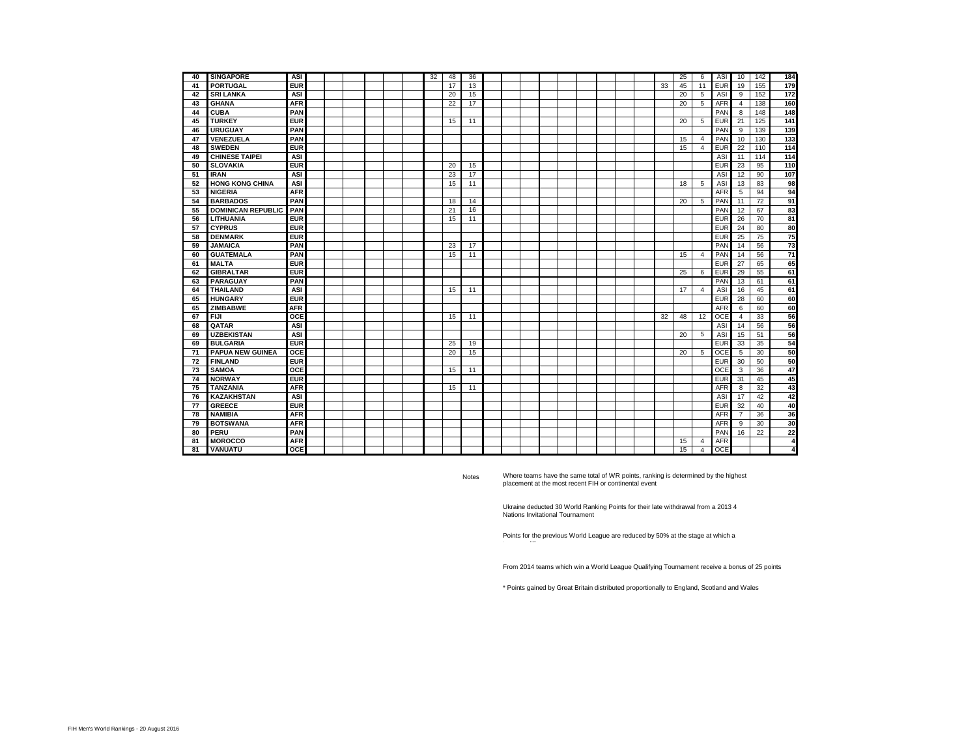| 40 | <b>SINGAPORE</b>          | ASI        |  |  |  | 32 | 48 | 36 |  |  |  |  |    | 25 | 6              | <b>ASI</b> | 10             | 142 | 184                    |
|----|---------------------------|------------|--|--|--|----|----|----|--|--|--|--|----|----|----------------|------------|----------------|-----|------------------------|
| 41 | <b>PORTUGAL</b>           | <b>EUR</b> |  |  |  |    | 17 | 13 |  |  |  |  | 33 | 45 | 11             | <b>EUR</b> | 19             | 155 | 179                    |
| 42 | <b>SRI LANKA</b>          | ASI        |  |  |  |    | 20 | 15 |  |  |  |  |    | 20 | 5              | ASI        | 9              | 152 | 172                    |
| 43 | <b>GHANA</b>              | <b>AFR</b> |  |  |  |    | 22 | 17 |  |  |  |  |    | 20 | 5              | <b>AFR</b> | 4              | 138 | 160                    |
| 44 | <b>CUBA</b>               | PAN        |  |  |  |    |    |    |  |  |  |  |    |    |                | PAN        | 8              | 148 | 148                    |
| 45 | <b>TURKEY</b>             | <b>EUR</b> |  |  |  |    | 15 | 11 |  |  |  |  |    | 20 | 5              | <b>EUR</b> | 21             | 125 | 141                    |
| 46 | <b>URUGUAY</b>            | PAN        |  |  |  |    |    |    |  |  |  |  |    |    |                | PAN        | 9              | 139 | 139                    |
| 47 | VENEZUELA                 | PAN        |  |  |  |    |    |    |  |  |  |  |    | 15 | 4              | PAN        | 10             | 130 | 133                    |
| 48 | <b>SWEDEN</b>             | <b>EUR</b> |  |  |  |    |    |    |  |  |  |  |    | 15 | $\overline{4}$ | <b>EUR</b> | 22             | 110 | $\overline{114}$       |
| 49 | <b>CHINESE TAIPEI</b>     | ASI        |  |  |  |    |    |    |  |  |  |  |    |    |                | ASI        | 11             | 114 | 114                    |
| 50 | <b>SLOVAKIA</b>           | <b>EUR</b> |  |  |  |    | 20 | 15 |  |  |  |  |    |    |                | <b>EUR</b> | 23             | 95  | 110                    |
| 51 | <b>IRAN</b>               | ASI        |  |  |  |    | 23 | 17 |  |  |  |  |    |    |                | ASI        | 12             | 90  | 107                    |
| 52 | <b>HONG KONG CHINA</b>    | ASI        |  |  |  |    | 15 | 11 |  |  |  |  |    | 18 | 5              | ASI        | 13             | 83  | 98                     |
| 53 | <b>NIGERIA</b>            | <b>AFR</b> |  |  |  |    |    |    |  |  |  |  |    |    |                | <b>AFR</b> | 5              | 94  | 94                     |
| 54 | <b>BARBADOS</b>           | PAN        |  |  |  |    | 18 | 14 |  |  |  |  |    | 20 | 5              | PAN        | 11             | 72  | 91                     |
| 55 | <b>DOMINICAN REPUBLIC</b> | PAN        |  |  |  |    | 21 | 16 |  |  |  |  |    |    |                | PAN        | 12             | 67  | 83                     |
| 56 | LITHUANIA                 | <b>EUR</b> |  |  |  |    | 15 | 11 |  |  |  |  |    |    |                | <b>EUR</b> | 26             | 70  | 81                     |
| 57 | <b>CYPRUS</b>             | <b>EUR</b> |  |  |  |    |    |    |  |  |  |  |    |    |                | <b>EUR</b> | 24             | 80  | 80                     |
| 58 | <b>DENMARK</b>            | <b>EUR</b> |  |  |  |    |    |    |  |  |  |  |    |    |                | <b>EUR</b> | 25             | 75  | 75                     |
| 59 | <b>JAMAICA</b>            | PAN        |  |  |  |    | 23 | 17 |  |  |  |  |    |    |                | <b>PAN</b> | 14             | 56  | $\overline{73}$        |
| 60 | <b>GUATEMALA</b>          | PAN        |  |  |  |    | 15 | 11 |  |  |  |  |    | 15 | $\overline{4}$ | PAN        | 14             | 56  | $\overline{71}$        |
| 61 | <b>MALTA</b>              | <b>EUR</b> |  |  |  |    |    |    |  |  |  |  |    |    |                | EUR        | 27             | 65  | 65                     |
| 62 | <b>GIBRALTAR</b>          | <b>EUR</b> |  |  |  |    |    |    |  |  |  |  |    | 25 | 6              | EUR        | 29             | 55  | 61                     |
| 63 | <b>PARAGUAY</b>           | PAN        |  |  |  |    |    |    |  |  |  |  |    |    |                | PAN        | 13             | 61  | 61                     |
| 64 | <b>THAILAND</b>           | ASI        |  |  |  |    | 15 | 11 |  |  |  |  |    | 17 | $\overline{4}$ | ASI        | 16             | 45  | 61                     |
| 65 | <b>HUNGARY</b>            | <b>EUR</b> |  |  |  |    |    |    |  |  |  |  |    |    |                | EUR        | 28             | 60  | 60                     |
| 65 | <b>ZIMBABWE</b>           | <b>AFR</b> |  |  |  |    |    |    |  |  |  |  |    |    |                | AFR        | 6              | 60  | 60                     |
| 67 | <b>FIJI</b>               | OCE        |  |  |  |    | 15 | 11 |  |  |  |  | 32 | 48 | 12             | OCE        | 4              | 33  | 56                     |
| 68 | QATAR                     | ASI        |  |  |  |    |    |    |  |  |  |  |    |    |                | ASI        | 14             | 56  | 56                     |
| 69 | <b>UZBEKISTAN</b>         | ASI        |  |  |  |    |    |    |  |  |  |  |    | 20 | 5              | ASI        | 15             | 51  | 56                     |
| 69 | <b>BULGARIA</b>           | <b>EUR</b> |  |  |  |    | 25 | 19 |  |  |  |  |    |    |                | <b>EUR</b> | 33             | 35  | 54                     |
| 71 | <b>PAPUA NEW GUINEA</b>   | OCE        |  |  |  |    | 20 | 15 |  |  |  |  |    | 20 | 5              | OCE        | 5              | 30  | 50                     |
| 72 | <b>FINLAND</b>            | <b>EUR</b> |  |  |  |    |    |    |  |  |  |  |    |    |                | <b>EUR</b> | 30             | 50  | 50                     |
| 73 | <b>SAMOA</b>              | OCE        |  |  |  |    | 15 | 11 |  |  |  |  |    |    |                | OCE        | 3              | 36  | 47                     |
| 74 | <b>NORWAY</b>             | <b>EUR</b> |  |  |  |    |    |    |  |  |  |  |    |    |                | EUR        | 31             | 45  | 45                     |
| 75 | <b>TANZANIA</b>           | <b>AFR</b> |  |  |  |    | 15 | 11 |  |  |  |  |    |    |                | AFR        | 8              | 32  | 43                     |
| 76 | <b>KAZAKHSTAN</b>         | ASI        |  |  |  |    |    |    |  |  |  |  |    |    |                | ASI        | 17             | 42  | 42                     |
| 77 | <b>GREECE</b>             | <b>EUR</b> |  |  |  |    |    |    |  |  |  |  |    |    |                | <b>EUR</b> | 32             | 40  | 40                     |
| 78 | <b>NAMIBIA</b>            | <b>AFR</b> |  |  |  |    |    |    |  |  |  |  |    |    |                | <b>AFR</b> | $\overline{7}$ | 36  | 36                     |
| 79 | <b>BOTSWANA</b>           | <b>AFR</b> |  |  |  |    |    |    |  |  |  |  |    |    |                | AFF        | 9              | 30  | 30                     |
| 80 | PERU                      | PAN        |  |  |  |    |    |    |  |  |  |  |    |    |                | PAN        | 16             | 22  | 22                     |
| 81 | <b>MOROCCO</b>            | <b>AFR</b> |  |  |  |    |    |    |  |  |  |  |    | 15 | 4              | <b>AFR</b> |                |     | $\boldsymbol{\Lambda}$ |
| 81 | <b>VANUATU</b>            | <b>OCE</b> |  |  |  |    |    |    |  |  |  |  |    | 15 | $\overline{4}$ | <b>OCE</b> |                |     | 4                      |

Notes

team qualifies

Where teams have the same total of WR points, ranking is determined by the highest placement at the most recent FIH or continental event

Ukraine deducted 30 World Ranking Points for their late withdrawal from a 2013 4 Nations Invitational Tournament

Points for the previous World League are reduced by 50% at the stage at which a

From 2014 teams which win a World League Qualifying Tournament receive a bonus of 25 points

\* Points gained by Great Britain distributed proportionally to England, Scotland and Wales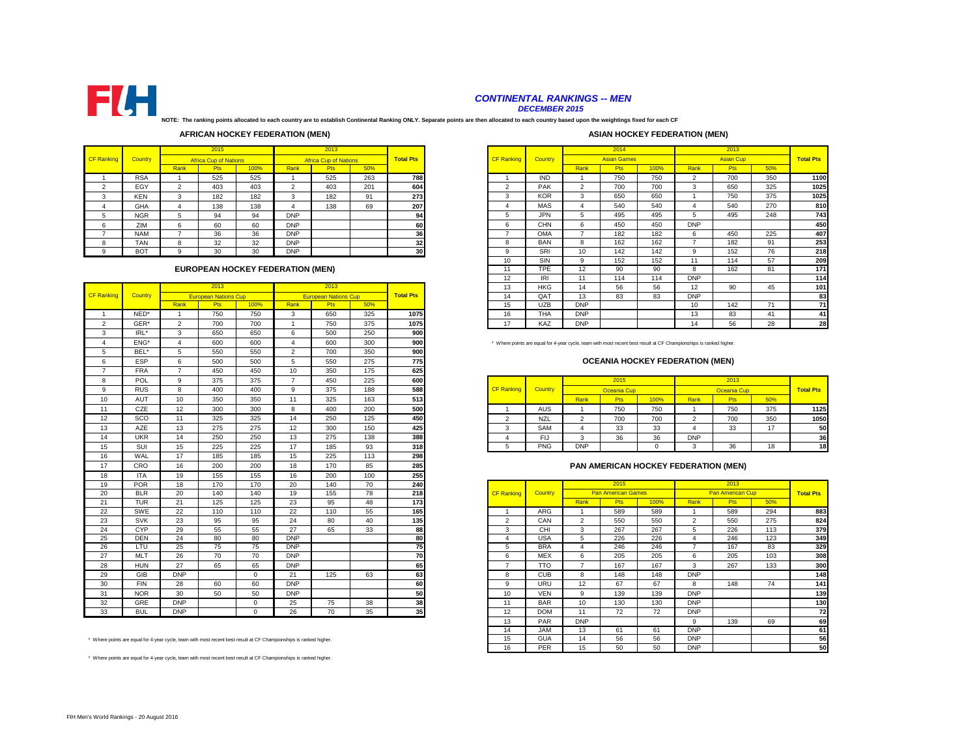

## *CONTINENTAL RANKINGS -- MEN*

*DECEMBER 2015*

**NOTE: The ranking points allocated to each country are to establish Continental Ranking ONLY. Separate points are then allocated to each country based upon the weightings fixed for each CF** 

#### **AFRICAN HOCKEY FEDERATION (MEN)**

#### **ASIAN HOCKEY FEDERATION (MEN)**

| Country<br>Country<br><b>CF Ranking</b><br><b>Total Pts</b><br><b>CF Ranking</b><br><b>Africa Cup of Nations</b><br><b>Africa Cup of Nations</b><br>Rank<br>100%<br>Rank<br>Rank<br><b>Pts</b><br>Pts<br>50%<br>263<br><b>RSA</b><br>525<br>525<br>525<br>788<br><b>IND</b><br><b>PAK</b><br>$\sim$<br>201<br>$\sim$<br>EGY<br>403<br>403<br>604<br>403<br>◠<br>◠<br>⌒<br><b>KOR</b><br>3<br>273<br>$\sim$<br>182<br>182<br>91<br>182<br><b>KEN</b><br>3<br>3<br>◠<br>$\sim$<br>۰,<br><b>MAS</b><br>207<br><b>GHA</b><br>138<br>138<br>69<br>138<br>4<br>4<br>4<br>4<br><b>JPN</b><br>5<br><b>DNP</b><br>94<br><b>NGR</b><br>94<br>5<br>94<br>5<br>5<br><b>CHN</b><br><b>DNP</b><br>60<br>6<br>6<br>ZIM<br>60<br>60<br>6<br>6<br>OMA<br>36<br>36<br>36<br><b>DNP</b><br><b>NAM</b><br>32<br>32<br>32<br><b>DNP</b><br><b>BAN</b><br><b>TAN</b><br>8<br>8<br>8<br>8<br>30<br><b>BOT</b><br>30<br><b>DNP</b><br>30<br>SRI<br>9<br>a<br>10<br>9 |  | 2015 |  | 2013 |  |  |  |  |
|----------------------------------------------------------------------------------------------------------------------------------------------------------------------------------------------------------------------------------------------------------------------------------------------------------------------------------------------------------------------------------------------------------------------------------------------------------------------------------------------------------------------------------------------------------------------------------------------------------------------------------------------------------------------------------------------------------------------------------------------------------------------------------------------------------------------------------------------------------------------------------------------------------------------------------------------|--|------|--|------|--|--|--|--|
|                                                                                                                                                                                                                                                                                                                                                                                                                                                                                                                                                                                                                                                                                                                                                                                                                                                                                                                                              |  |      |  |      |  |  |  |  |
|                                                                                                                                                                                                                                                                                                                                                                                                                                                                                                                                                                                                                                                                                                                                                                                                                                                                                                                                              |  |      |  |      |  |  |  |  |
|                                                                                                                                                                                                                                                                                                                                                                                                                                                                                                                                                                                                                                                                                                                                                                                                                                                                                                                                              |  |      |  |      |  |  |  |  |
|                                                                                                                                                                                                                                                                                                                                                                                                                                                                                                                                                                                                                                                                                                                                                                                                                                                                                                                                              |  |      |  |      |  |  |  |  |
|                                                                                                                                                                                                                                                                                                                                                                                                                                                                                                                                                                                                                                                                                                                                                                                                                                                                                                                                              |  |      |  |      |  |  |  |  |
|                                                                                                                                                                                                                                                                                                                                                                                                                                                                                                                                                                                                                                                                                                                                                                                                                                                                                                                                              |  |      |  |      |  |  |  |  |
|                                                                                                                                                                                                                                                                                                                                                                                                                                                                                                                                                                                                                                                                                                                                                                                                                                                                                                                                              |  |      |  |      |  |  |  |  |
|                                                                                                                                                                                                                                                                                                                                                                                                                                                                                                                                                                                                                                                                                                                                                                                                                                                                                                                                              |  |      |  |      |  |  |  |  |
|                                                                                                                                                                                                                                                                                                                                                                                                                                                                                                                                                                                                                                                                                                                                                                                                                                                                                                                                              |  |      |  |      |  |  |  |  |
|                                                                                                                                                                                                                                                                                                                                                                                                                                                                                                                                                                                                                                                                                                                                                                                                                                                                                                                                              |  |      |  |      |  |  |  |  |
|                                                                                                                                                                                                                                                                                                                                                                                                                                                                                                                                                                                                                                                                                                                                                                                                                                                                                                                                              |  |      |  |      |  |  |  |  |

### **EUROPEAN HOCKEY FEDERATION (MEN)**

|                   |            |                | 2013                        |             |                | 2013                        |     |                  |
|-------------------|------------|----------------|-----------------------------|-------------|----------------|-----------------------------|-----|------------------|
| <b>CF Ranking</b> | Country    |                | <b>European Nations Cup</b> |             |                | <b>European Nations Cup</b> |     | <b>Total Pts</b> |
|                   |            | Rank           | Pts                         | 100%        | Rank           | <b>Pts</b>                  | 50% |                  |
| $\overline{1}$    | NED*       | $\overline{1}$ | 750                         | 750         | 3              | 650                         | 325 | 1075             |
| $\overline{2}$    | GER*       | $\overline{2}$ | 700                         | 700         | $\overline{1}$ | 750                         | 375 | 1075             |
| 3                 | IRL*       | 3              | 650                         | 650         | 6              | 500                         | 250 | 900              |
| $\overline{4}$    | ENG*       | $\overline{4}$ | 600                         | 600         | $\overline{4}$ | 600                         | 300 | 900              |
| 5                 | BEL*       | 5              | 550                         | 550         | $\overline{2}$ | 700                         | 350 | 900              |
| 6                 | ESP        | 6              | 500                         | 500         | 5              | 550                         | 275 | 775              |
| $\overline{7}$    | <b>FRA</b> | $\overline{7}$ | 450                         | 450         | 10             | 350                         | 175 | 625              |
| 8                 | POL        | 9              | 375                         | 375         | $\overline{7}$ | 450                         | 225 | 600              |
| 9                 | <b>RUS</b> | 8              | 400                         | 400         | 9              | 375                         | 188 | 588              |
| 10                | AUT        | 10             | 350                         | 350         | 11             | 325                         | 163 | 513              |
| 11                | CZE        | 12             | 300                         | 300         | 8              | 400                         | 200 | 500              |
| 12                | SCO        | 11             | 325                         | 325         | 14             | 250                         | 125 | 450              |
| 13                | <b>AZE</b> | 13             | 275                         | 275         | 12             | 300                         | 150 | 425              |
| 14                | <b>UKR</b> | 14             | 250                         | 250         | 13             | 275                         | 138 | 388              |
| 15                | SUI        | 15             | 225                         | 225         | 17             | 185                         | 93  | 318              |
| 16                | WAL        | 17             | 185                         | 185         | 15             | 225                         | 113 | 298              |
| 17                | CRO        | 16             | 200                         | 200         | 18             | 170                         | 85  | 285              |
| 18                | <b>ITA</b> | 19             | 155                         | 155         | 16             | 200                         | 100 | 255              |
| 19                | <b>POR</b> | 18             | 170                         | 170         | 20             | 140                         | 70  | 240              |
| 20                | <b>BLR</b> | 20             | 140                         | 140         | 19             | 155                         | 78  | 218              |
| 21                | <b>TUR</b> | 21             | 125                         | 125         | 23             | 95                          | 48  | 173              |
| 22                | SWE        | 22             | 110                         | 110         | 22             | 110                         | 55  | 165              |
| 23                | <b>SVK</b> | 23             | 95                          | 95          | 24             | 80                          | 40  | 135              |
| 24                | CYP        | 29             | 55                          | 55          | 27             | 65                          | 33  | 88               |
| 25                | <b>DEN</b> | 24             | 80                          | 80          | <b>DNP</b>     |                             |     | 80               |
| 26                | LTU        | 25             | 75                          | 75          | <b>DNP</b>     |                             |     | 75               |
| 27                | <b>MLT</b> | 26             | 70                          | 70          | <b>DNP</b>     |                             |     | 70               |
| 28                | <b>HUN</b> | 27             | 65                          | 65          | <b>DNP</b>     |                             |     | 65               |
| 29                | GIB        | <b>DNP</b>     |                             | $\mathbf 0$ | 21             | 125                         | 63  | 63               |
| 30                | <b>FIN</b> | 28             | 60                          | 60          | <b>DNP</b>     |                             |     | 60               |
| 31                | <b>NOR</b> | 30             | 50                          | 50          | <b>DNP</b>     |                             |     | 50               |
| 32                | GRE        | <b>DNP</b>     |                             | $\Omega$    | 25             | 75                          | 38  | 38               |
| 33                | <b>BUL</b> | <b>DNP</b>     |                             | $\Omega$    | 26             | 70                          | 35  | 35               |

\* Where points are equal for 4-year cycle, team with most recent best result at CF Championships is ranked higher.

\* Where points are equal for 4-year cycle, team with most recent best result at CF Championships is ranked higher.

|        |            |        | 2015                         |                                  |                    | 2013                         |                  |                  |                   |            |            | 2014               |            |              | 2013             |     |                  |
|--------|------------|--------|------------------------------|----------------------------------|--------------------|------------------------------|------------------|------------------|-------------------|------------|------------|--------------------|------------|--------------|------------------|-----|------------------|
| anking | Country    |        | <b>Africa Cup of Nations</b> |                                  |                    | <b>Africa Cup of Nations</b> |                  | <b>Total Pts</b> | <b>CF Ranking</b> | Country    |            | <b>Asian Games</b> |            |              | <b>Asian Cup</b> |     | <b>Total Pts</b> |
|        |            | Rank   | Pts                          | 100%                             | Rank               | Pts                          | 50%              |                  |                   |            | Rank       | Pts                | 100%       | Rank         | <b>Pts</b>       | 50% |                  |
|        | <b>RSA</b> |        | 525                          | 525                              |                    | 525                          | 263              | 788              |                   | <b>IND</b> |            | 750                | 750        | $\Omega$     | 700              | 350 | 1100             |
|        | EGY        | $\sim$ | 403                          | 403                              | $\Omega$           | 403                          | 201              | 604              | $\sim$            | <b>PAK</b> | $\sim$     | 700                | 700        | 3            | 650              | 325 | 1025             |
|        | <b>KEN</b> | 3      | 182                          | 182                              | 3                  | 182                          | 91               | 273              | 3                 | <b>KOR</b> | 3          | 650                | 650        |              | 750              | 375 | 1025             |
|        | GHA        |        | 138                          | 138                              |                    | 138                          | 69               | 207              |                   | <b>MAS</b> |            | 540                | 540        |              | 540              | 270 | 810              |
|        | <b>NGR</b> |        | 94                           | 94                               | <b>DNP</b>         |                              |                  | 94               | ь                 | <b>JPN</b> |            | 495                | 495        |              | 495              | 248 | 743              |
| $\sim$ | ZIM        | 6.     | 60                           | 60                               | <b>DNP</b>         |                              |                  | 60               | 6                 | CHN        | ĥ          | 450                | 450        | <b>DNP</b>   |                  |     | 450              |
|        | <b>NAM</b> |        | 36                           | 36                               | <b>DNP</b>         |                              |                  | 36               |                   | <b>OMA</b> |            | 182                | 182        | 6            | 450              | 225 | 407              |
|        | <b>TAN</b> | R      | 32                           | 32                               | <b>DNP</b>         |                              |                  | 32               | 8                 | <b>BAN</b> | 8          | 162                | 162        |              | 182              | 91  | 253              |
|        | <b>BOT</b> | q      | 30                           | 30                               | <b>DNP</b>         |                              |                  | 30               | q                 | SRI        | 10         | 142                | 142        | $\mathbf{Q}$ | 152              | 76  | 218              |
|        |            |        |                              |                                  |                    |                              |                  |                  | 10                | SIN        | q          | 152                | 152        | 11           | 114              | 57  | 209              |
|        |            |        |                              | EUROPEAN HOCKEY FEDERATION (MEN) |                    |                              |                  |                  | 11                | <b>TPE</b> | 12         | 90                 | 90         | 8            | 162              | 81  | 171              |
|        |            |        |                              |                                  |                    |                              |                  |                  | 12                | IRI        | 11         | 114                | 114        | <b>DNP</b>   |                  |     | 114              |
|        |            |        | 2013                         |                                  |                    | 2013                         |                  |                  | 13                | <b>HKG</b> | 14         | 56                 | 56         | 12           | 90               | 45  | 101              |
| ankinc | Country    |        | <b>European Nations Cup</b>  | <b>European Nations Cup</b>      |                    |                              | <b>Total Pts</b> | 14               | OAT               | 13         | 83         | 83                 | <b>DNP</b> |              |                  | 83  |                  |
|        |            | Rank   | <b>Pts</b>                   | 100%                             | Rank<br>50%<br>Pts |                              |                  |                  | 15                | <b>UZB</b> | <b>DNP</b> |                    |            | $10^{-1}$    | 142              | 71  | 71               |
|        | NED*       |        | 750                          | 750                              | 3                  | 650<br>325                   |                  |                  | 16                | <b>THA</b> | <b>DNP</b> |                    |            | 13           | 83               | 41  | 41               |
|        | GER*       |        | 700                          | 700                              |                    | 375<br>750                   |                  |                  | 17                | KAZ        | <b>DNP</b> |                    |            | 14           | 56               | 28  | 28               |

#### **OCEANIA HOCKEY FEDERATION (MEN)**

| <b>POL</b> |    | 375 | 375 |        | 45 <sub>C</sub> | 225     | 600 |                   |            |            | 2015            |        |            | 2013        |     |                  |
|------------|----|-----|-----|--------|-----------------|---------|-----|-------------------|------------|------------|-----------------|--------|------------|-------------|-----|------------------|
| <b>RUS</b> |    | 400 | 400 |        | 375             | 188     | 588 | <b>CF Ranking</b> | Country    |            | Oceania Cup     |        |            | Oceania Cup |     | <b>Total Pts</b> |
| AUT        | 10 | 350 | 350 |        | 325             | 163     | 513 |                   |            | Rank       | P <sub>ts</sub> | 100%   | Rank       | <b>Pts</b>  | 50% |                  |
| CZE        | 12 | 300 | 300 |        | 400             | 200     | 500 |                   | <b>AUS</b> |            | 750             | 750    |            | 750         | 375 | 1125             |
| SCO        |    | 325 | 325 |        | 250             | 125     | 450 |                   | <b>NZL</b> |            | 700             | 700    |            | 700         | 350 | 1050             |
| AZE        | 13 | 275 | 275 | $\sim$ | 300             | 150     | 425 |                   | SAM        |            | 33              | 33     |            | 33          | 17  | 50 I             |
| <b>UKR</b> | 14 | 250 | 250 |        | 275             | 138     | 388 |                   |            |            | 36              | $\sim$ | <b>DNP</b> |             |     | 36               |
| SU         | 15 | 225 | 225 |        | 185             | റാ<br>ຶ | 318 |                   | <b>PNG</b> | <b>DNP</b> |                 |        |            | 36          | 18  | 18               |

#### **PAN AMERICAN HOCKEY FEDERATION (MEN)**

| $\cdot$ | .          | $\cdot$                                                                                                        | $\sim$ | $\sim$   | $\cdot$ $\sim$ | --- | $\sim$ | $\overline{\phantom{a}}$ |                   |            |            |                           |      |                |                  |     |                  |
|---------|------------|----------------------------------------------------------------------------------------------------------------|--------|----------|----------------|-----|--------|--------------------------|-------------------|------------|------------|---------------------------|------|----------------|------------------|-----|------------------|
| 19      | <b>POR</b> | 18                                                                                                             | 170    | 170      | 20             | 140 | 70     | 240                      |                   |            |            | 2015                      |      |                | 2013             |     |                  |
| 20      | <b>BLR</b> | 20                                                                                                             | 140    | 140      | 19             | 155 | 78     | 218                      | <b>CF Ranking</b> | Country    |            | <b>Pan American Games</b> |      |                | Pan American Cup |     | <b>Total Pts</b> |
| 21      | <b>TUR</b> | 21                                                                                                             | 125    | 125      | 23             | 95  | 48     | 173                      |                   |            | Rank       | <b>Pts</b>                | 100% | Rank           | <b>Pts</b>       | 50% |                  |
| 22      | SWE        | 22                                                                                                             | 110    | 110      | 22             | 110 | 55     | 165                      |                   | ARG        |            | 589                       | 589  |                | 589              | 294 | 883              |
| 23      | <b>SVK</b> | 23                                                                                                             | 95     | 95       | 24             | 80  | 40     | 135                      | 2                 | CAN        | 2          | 550                       | 550  | $\overline{2}$ | 550              | 275 | 824              |
| 24      | <b>CYP</b> | 29                                                                                                             | 55     | 55       | 27             | 65  | 33     | 88                       | 3                 | CHI        | 3          | 267                       | 267  | ∽              | 226              | 113 | 379              |
| 25      | <b>DEN</b> | 24                                                                                                             | 80     | 80       | <b>DNP</b>     |     |        | 80                       |                   | <b>USA</b> | 5          | 226                       | 226  |                | 246              | 123 | 349              |
| 26      | LTU        | 25                                                                                                             | 75     | 75       | <b>DNP</b>     |     |        | 75                       | $\mathbf{p}$      | <b>BRA</b> |            | 246                       | 246  |                | 167              | 83  | 329              |
| 27      | <b>MLT</b> | 26                                                                                                             | 70     | 70       | <b>DNP</b>     |     |        | 70                       | 6                 | <b>MEX</b> | 6          | 205                       | 205  | $\sim$<br>h    | 205              | 103 | 308              |
| 28      | <b>HUN</b> | 27                                                                                                             | 65     | 65       | <b>DNP</b>     |     |        | 65                       |                   | <b>TTO</b> |            | 167                       | 167  | 3              | 267              | 133 | 300              |
| 29      | GIB        | <b>DNP</b>                                                                                                     |        | $\Omega$ | 21             | 125 | 63     | 63                       | 8                 | <b>CUB</b> | 8          | 148                       | 148  | <b>DNP</b>     |                  |     | 148              |
| 30      | <b>FIN</b> | 28                                                                                                             | 60     | 60       | <b>DNP</b>     |     |        | 60                       | 9                 | URU        | 12         | 67                        | 67   |                | 148              | 74  | 141              |
| 31      | <b>NOR</b> | 30                                                                                                             | 50     | 50       | <b>DNP</b>     |     |        | 50                       | 10                | <b>VEN</b> | 9          | 139                       | 139  | <b>DNP</b>     |                  |     | 139              |
| 32      | <b>GRE</b> | <b>DNP</b>                                                                                                     |        | $\Omega$ | 25             | 75  | 38     | 38                       | 11                | <b>BAR</b> | 10         | 130                       | 130  | <b>DNP</b>     |                  |     | 130              |
| 33      | <b>BUL</b> | <b>DNP</b>                                                                                                     |        | $\Omega$ | 26             | 70  | 35     | 35                       | 12                | <b>DOM</b> | 11         | 72                        | 72   | <b>DNP</b>     |                  |     | 72               |
|         |            |                                                                                                                |        |          |                |     |        |                          | 13                | PAR        | <b>DNP</b> |                           |      | q              | 139              | 69  | 69               |
|         |            |                                                                                                                |        |          |                |     |        |                          | 14                | <b>JAM</b> | 13         | 61                        | 61   | <b>DNP</b>     |                  |     | 61               |
|         |            | ere points are equal for 4-year cycle, team with most recent best result at CF Championships is ranked higher. |        |          |                |     |        |                          | 15                | <b>GUA</b> | 14         | 56                        | 56   | <b>DNP</b>     |                  |     | 56               |
|         |            |                                                                                                                |        |          |                |     |        |                          | 16                | PER        | 15         | 50                        | 50   | <b>DNP</b>     |                  |     | 50               |